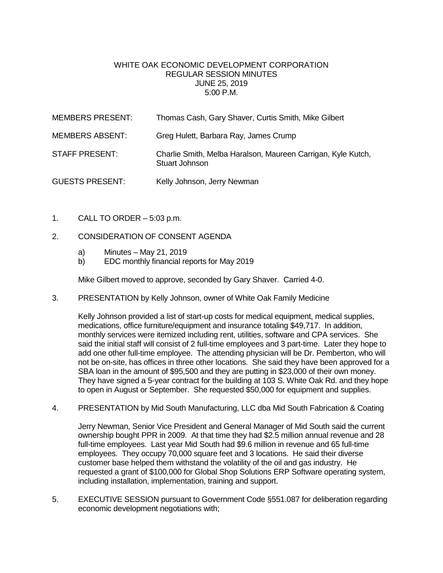## WHITE OAK ECONOMIC DEVELOPMENT CORPORATION REGULAR SESSION MINUTES JUNE 25, 2019 5:00 P.M.

| <b>MEMBERS PRESENT:</b> | Thomas Cash, Gary Shaver, Curtis Smith, Mike Gilbert                           |
|-------------------------|--------------------------------------------------------------------------------|
| <b>MEMBERS ABSENT:</b>  | Greg Hulett, Barbara Ray, James Crump                                          |
| STAFF PRESENT:          | Charlie Smith, Melba Haralson, Maureen Carrigan, Kyle Kutch,<br>Stuart Johnson |
| <b>GUESTS PRESENT:</b>  | Kelly Johnson, Jerry Newman                                                    |

1. CALL TO ORDER – 5:03 p.m.

## 2. CONSIDERATION OF CONSENT AGENDA

- a) Minutes May 21, 2019
- b) EDC monthly financial reports for May 2019

Mike Gilbert moved to approve, seconded by Gary Shaver. Carried 4-0.

3. PRESENTATION by Kelly Johnson, owner of White Oak Family Medicine

Kelly Johnson provided a list of start-up costs for medical equipment, medical supplies, medications, office furniture/equipment and insurance totaling \$49,717. In addition, monthly services were itemized including rent, utilities, software and CPA services. She said the initial staff will consist of 2 full-time employees and 3 part-time. Later they hope to add one other full-time employee. The attending physician will be Dr. Pemberton, who will not be on-site, has offices in three other locations. She said they have been approved for a SBA loan in the amount of \$95,500 and they are putting in \$23,000 of their own money. They have signed a 5-year contract for the building at 103 S. White Oak Rd. and they hope to open in August or September. She requested \$50,000 for equipment and supplies.

4. PRESENTATION by Mid South Manufacturing, LLC dba Mid South Fabrication & Coating

Jerry Newman, Senior Vice President and General Manager of Mid South said the current ownership bought PPR in 2009. At that time they had \$2.5 million annual revenue and 28 full-time employees. Last year Mid South had \$9.6 million in revenue and 65 full-time employees. They occupy 70,000 square feet and 3 locations. He said their diverse customer base helped them withstand the volatility of the oil and gas industry. He requested a grant of \$100,000 for Global Shop Solutions ERP Software operating system, including installation, implementation, training and support.

5. EXECUTIVE SESSION pursuant to Government Code §551.087 for deliberation regarding economic development negotiations with;